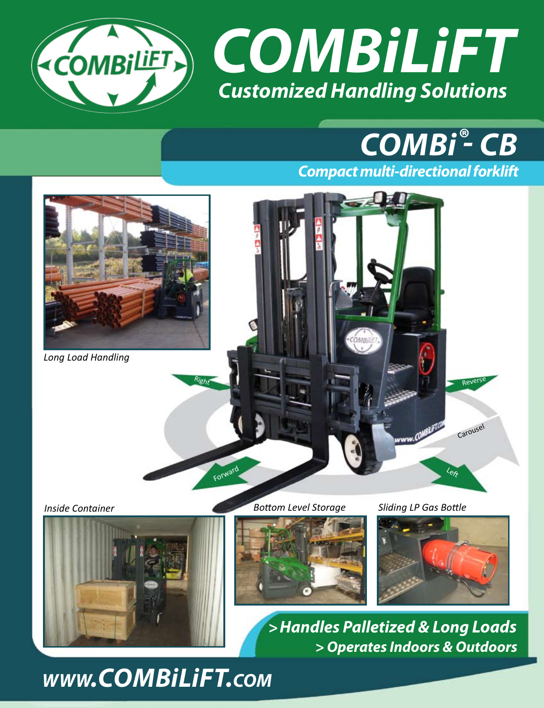

# *Combi - CB* **®**

*Compact multi-directional forklift*



*Long Load Handling*

*Inside Container Bottom Level Storage Sliding LP Gas Bottle*

Forwar

Right





Left

Revers

Carousel

*>Handles Palletized & Long Loads > Operates Indoors & Outdoors* 

*www.combilift.com*